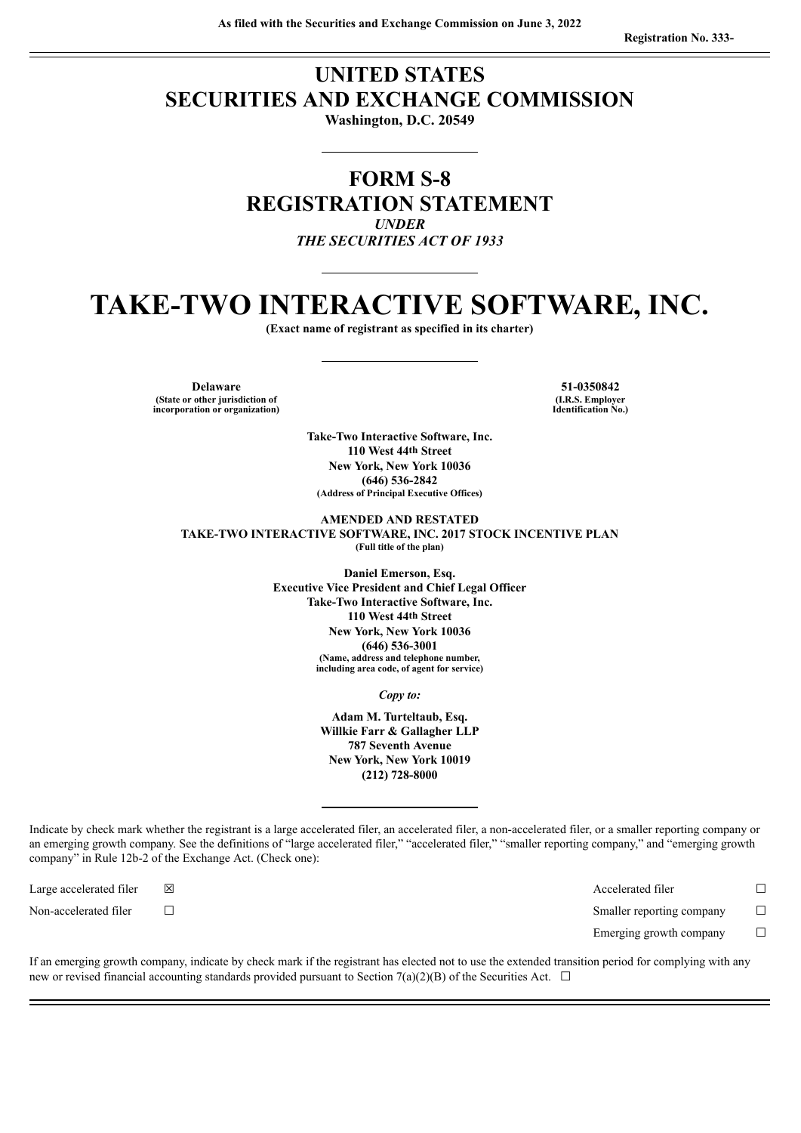# **UNITED STATES SECURITIES AND EXCHANGE COMMISSION**

**Washington, D.C. 20549**

# **FORM S-8 REGISTRATION STATEMENT** *UNDER THE SECURITIES ACT OF 1933*

# **TAKE-TWO INTERACTIVE SOFTWARE, INC.**

**(Exact name of registrant as specified in its charter)**

**Delaware 51-0350842 (State or other jurisdiction of incorporation or organization)**

**(I.R.S. Employer Identification No.)**

**Take-Two Interactive Software, Inc. 110 West 44th Street New York, New York 10036 (646) 536-2842 (Address of Principal Executive Offices)**

**AMENDED AND RESTATED TAKE-TWO INTERACTIVE SOFTWARE, INC. 2017 STOCK INCENTIVE PLAN (Full title of the plan)**

> **Daniel Emerson, Esq. Executive Vice President and Chief Legal Officer Take-Two Interactive Software, Inc. 110 West 44th Street New York, New York 10036 (646) 536-3001 (Name, address and telephone number, including area code, of agent for service)**

> > *Copy to:*

**Adam M. Turteltaub, Esq. Willkie Farr & Gallagher LLP 787 Seventh Avenue New York, New York 10019 (212) 728-8000**

Indicate by check mark whether the registrant is a large accelerated filer, an accelerated filer, a non-accelerated filer, or a smaller reporting company or an emerging growth company. See the definitions of "large accelerated filer," "accelerated filer," "smaller reporting company," and "emerging growth company" in Rule 12b-2 of the Exchange Act. (Check one):

Large accelerated filer ☒ Accelerated filer ☐

Non-accelerated filer ☐ Smaller reporting company ☐

Emerging growth company  $\Box$ 

If an emerging growth company, indicate by check mark if the registrant has elected not to use the extended transition period for complying with any new or revised financial accounting standards provided pursuant to Section 7(a)(2)(B) of the Securities Act.  $\Box$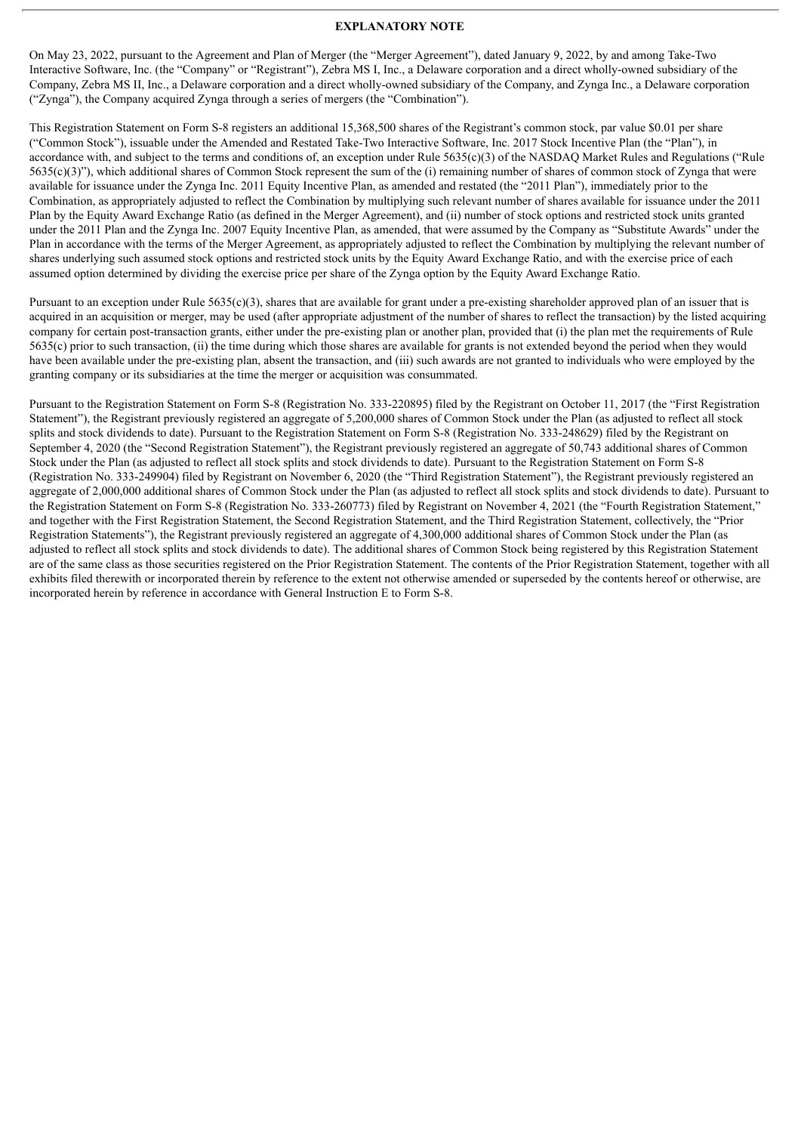#### **EXPLANATORY NOTE**

On May 23, 2022, pursuant to the Agreement and Plan of Merger (the "Merger Agreement"), dated January 9, 2022, by and among Take-Two Interactive Software, Inc. (the "Company" or "Registrant"), Zebra MS I, Inc., a Delaware corporation and a direct wholly-owned subsidiary of the Company, Zebra MS II, Inc., a Delaware corporation and a direct wholly-owned subsidiary of the Company, and Zynga Inc., a Delaware corporation ("Zynga"), the Company acquired Zynga through a series of mergers (the "Combination").

This Registration Statement on Form S-8 registers an additional 15,368,500 shares of the Registrant's common stock, par value \$0.01 per share ("Common Stock"), issuable under the Amended and Restated Take-Two Interactive Software, Inc. 2017 Stock Incentive Plan (the "Plan"), in accordance with, and subject to the terms and conditions of, an exception under Rule 5635(c)(3) of the NASDAQ Market Rules and Regulations ("Rule  $5635(c)(3)$ "), which additional shares of Common Stock represent the sum of the (i) remaining number of shares of common stock of Zynga that were available for issuance under the Zynga Inc. 2011 Equity Incentive Plan, as amended and restated (the "2011 Plan"), immediately prior to the Combination, as appropriately adjusted to reflect the Combination by multiplying such relevant number of shares available for issuance under the 2011 Plan by the Equity Award Exchange Ratio (as defined in the Merger Agreement), and (ii) number of stock options and restricted stock units granted under the 2011 Plan and the Zynga Inc. 2007 Equity Incentive Plan, as amended, that were assumed by the Company as "Substitute Awards" under the Plan in accordance with the terms of the Merger Agreement, as appropriately adjusted to reflect the Combination by multiplying the relevant number of shares underlying such assumed stock options and restricted stock units by the Equity Award Exchange Ratio, and with the exercise price of each assumed option determined by dividing the exercise price per share of the Zynga option by the Equity Award Exchange Ratio.

Pursuant to an exception under Rule  $5635(c)(3)$ , shares that are available for grant under a pre-existing shareholder approved plan of an issuer that is acquired in an acquisition or merger, may be used (after appropriate adjustment of the number of shares to reflect the transaction) by the listed acquiring company for certain post-transaction grants, either under the pre-existing plan or another plan, provided that (i) the plan met the requirements of Rule 5635(c) prior to such transaction, (ii) the time during which those shares are available for grants is not extended beyond the period when they would have been available under the pre-existing plan, absent the transaction, and (iii) such awards are not granted to individuals who were employed by the granting company or its subsidiaries at the time the merger or acquisition was consummated.

Pursuant to the Registration Statement on Form S-8 (Registration No. 333-220895) filed by the Registrant on October 11, 2017 (the "First Registration Statement"), the Registrant previously registered an aggregate of 5,200,000 shares of Common Stock under the Plan (as adjusted to reflect all stock splits and stock dividends to date). Pursuant to the Registration Statement on Form S-8 (Registration No. 333-248629) filed by the Registrant on September 4, 2020 (the "Second Registration Statement"), the Registrant previously registered an aggregate of 50,743 additional shares of Common Stock under the Plan (as adjusted to reflect all stock splits and stock dividends to date). Pursuant to the Registration Statement on Form S-8 (Registration No. 333-249904) filed by Registrant on November 6, 2020 (the "Third Registration Statement"), the Registrant previously registered an aggregate of 2,000,000 additional shares of Common Stock under the Plan (as adjusted to reflect all stock splits and stock dividends to date). Pursuant to the Registration Statement on Form S-8 (Registration No. 333-260773) filed by Registrant on November 4, 2021 (the "Fourth Registration Statement," and together with the First Registration Statement, the Second Registration Statement, and the Third Registration Statement, collectively, the "Prior Registration Statements"), the Registrant previously registered an aggregate of 4,300,000 additional shares of Common Stock under the Plan (as adjusted to reflect all stock splits and stock dividends to date). The additional shares of Common Stock being registered by this Registration Statement are of the same class as those securities registered on the Prior Registration Statement. The contents of the Prior Registration Statement, together with all exhibits filed therewith or incorporated therein by reference to the extent not otherwise amended or superseded by the contents hereof or otherwise, are incorporated herein by reference in accordance with General Instruction E to Form S-8.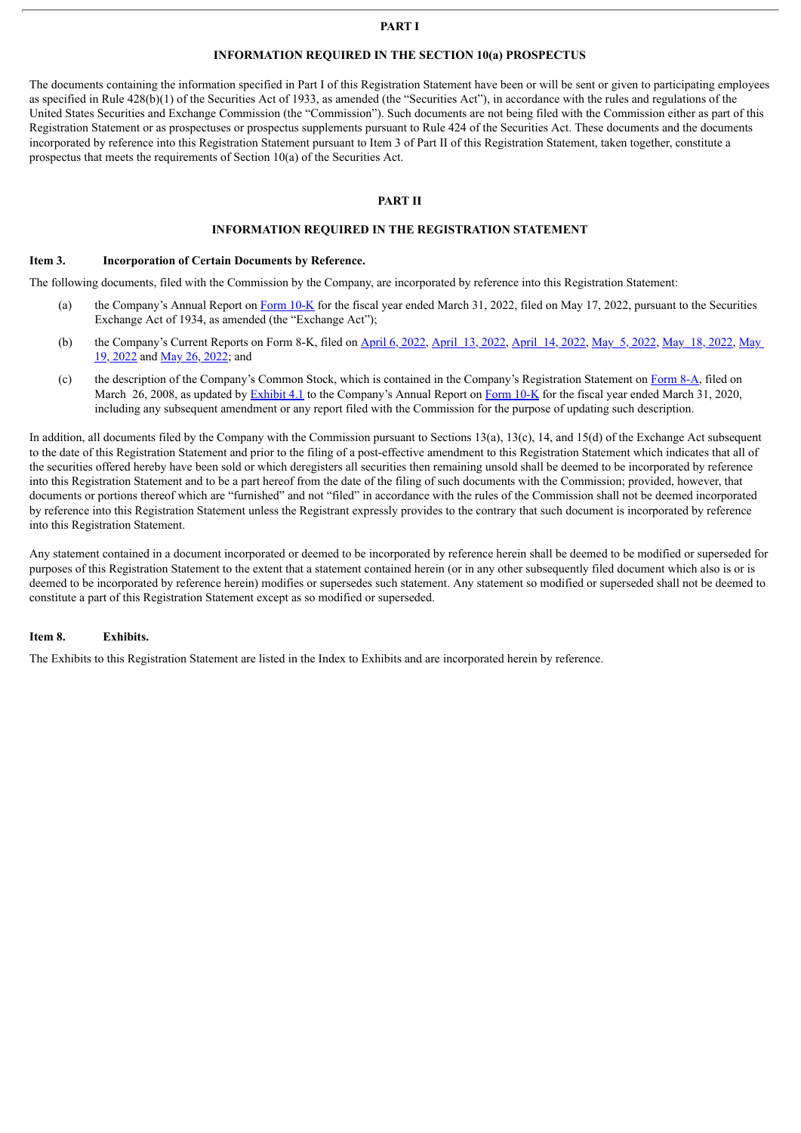#### **PART I**

#### **INFORMATION REQUIRED IN THE SECTION 10(a) PROSPECTUS**

The documents containing the information specified in Part I of this Registration Statement have been or will be sent or given to participating employees as specified in Rule 428(b)(1) of the Securities Act of 1933, as amended (the "Securities Act"), in accordance with the rules and regulations of the United States Securities and Exchange Commission (the "Commission"). Such documents are not being filed with the Commission either as part of this Registration Statement or as prospectuses or prospectus supplements pursuant to Rule 424 of the Securities Act. These documents and the documents incorporated by reference into this Registration Statement pursuant to Item 3 of Part II of this Registration Statement, taken together, constitute a prospectus that meets the requirements of Section 10(a) of the Securities Act.

## **PART II**

#### **INFORMATION REQUIRED IN THE REGISTRATION STATEMENT**

#### **Item 3. Incorporation of Certain Documents by Reference.**

The following documents, filed with the Commission by the Company, are incorporated by reference into this Registration Statement:

- (a) the Company's Annual Report on [Form](http://www.sec.gov/ix?doc=/Archives/edgar/data/946581/000162828022014580/ttwo-20220331.htm) 10-K for the fiscal year ended March 31, 2022, filed on May 17, 2022, pursuant to the Securities Exchange Act of 1934, as amended (the "Exchange Act");
- (b) the [Company's](http://www.sec.gov/ix?doc=/Archives/edgar/data/946581/000119312522155140/d131175d8k.htm) Current Reports on Form 8-K, filed on  $April 6, 2022, April 13, 2022, April 14, 2022, May 5, 2022, May 18, 2022, May 18, 2022, May 19, 2022, May 19, 2022, May 19, 2022, May 19, 2022, May 19, 2022, May 19, 2022, May 19, 2022, May 19, 2022, May 19, 2022, May$  $April 6, 2022, April 13, 2022, April 14, 2022, May 5, 2022, May 18, 2022, May 18, 2022, May 19, 2022, May 19, 2022, May 19, 2022, May 19, 2022, May 19, 2022, May 19, 2022, May 19, 2022, May 19, 2022, May 19, 2022, May$  $April 6, 2022, April 13, 2022, April 14, 2022, May 5, 2022, May 18, 2022, May 18, 2022, May 19, 2022, May 19, 2022, May 19, 2022, May 19, 2022, May 19, 2022, May 19, 2022, May 19, 2022, May 19, 2022, May 19, 2022, May$  $April 6, 2022, April 13, 2022, April 14, 2022, May 5, 2022, May 18, 2022, May 18, 2022, May 19, 2022, May 19, 2022, May 19, 2022, May 19, 2022, May 19, 2022, May 19, 2022, May 19, 2022, May 19, 2022, May 19, 2022, May$ 19, 2022 and May 26, [2022;](http://www.sec.gov/ix?doc=/Archives/edgar/data/946581/000119312522160004/d306239d8k.htm) and
- (c) the description of the Company's Common Stock, which is contained in the Company's Registration Statement on [Form](http://www.sec.gov/Archives/edgar/data/946581/000110465908019702/a08-9031_28a12b.htm) 8-A, filed on March 26, 2008, as updated by [Exhibit](http://www.sec.gov/Archives/edgar/data/946581/000162828020008291/ex-4103312020.htm) 4.1 to the Company's Annual Report on [Form](http://www.sec.gov/ix?doc=/Archives/edgar/data/946581/000162828020008291/ttwo-20200331.htm) 10-K for the fiscal year ended March 31, 2020, including any subsequent amendment or any report filed with the Commission for the purpose of updating such description.

In addition, all documents filed by the Company with the Commission pursuant to Sections 13(a), 13(c), 14, and 15(d) of the Exchange Act subsequent to the date of this Registration Statement and prior to the filing of a post-effective amendment to this Registration Statement which indicates that all of the securities offered hereby have been sold or which deregisters all securities then remaining unsold shall be deemed to be incorporated by reference into this Registration Statement and to be a part hereof from the date of the filing of such documents with the Commission; provided, however, that documents or portions thereof which are "furnished" and not "filed" in accordance with the rules of the Commission shall not be deemed incorporated by reference into this Registration Statement unless the Registrant expressly provides to the contrary that such document is incorporated by reference into this Registration Statement.

Any statement contained in a document incorporated or deemed to be incorporated by reference herein shall be deemed to be modified or superseded for purposes of this Registration Statement to the extent that a statement contained herein (or in any other subsequently filed document which also is or is deemed to be incorporated by reference herein) modifies or supersedes such statement. Any statement so modified or superseded shall not be deemed to constitute a part of this Registration Statement except as so modified or superseded.

#### **Item 8. Exhibits.**

The Exhibits to this Registration Statement are listed in the Index to Exhibits and are incorporated herein by reference.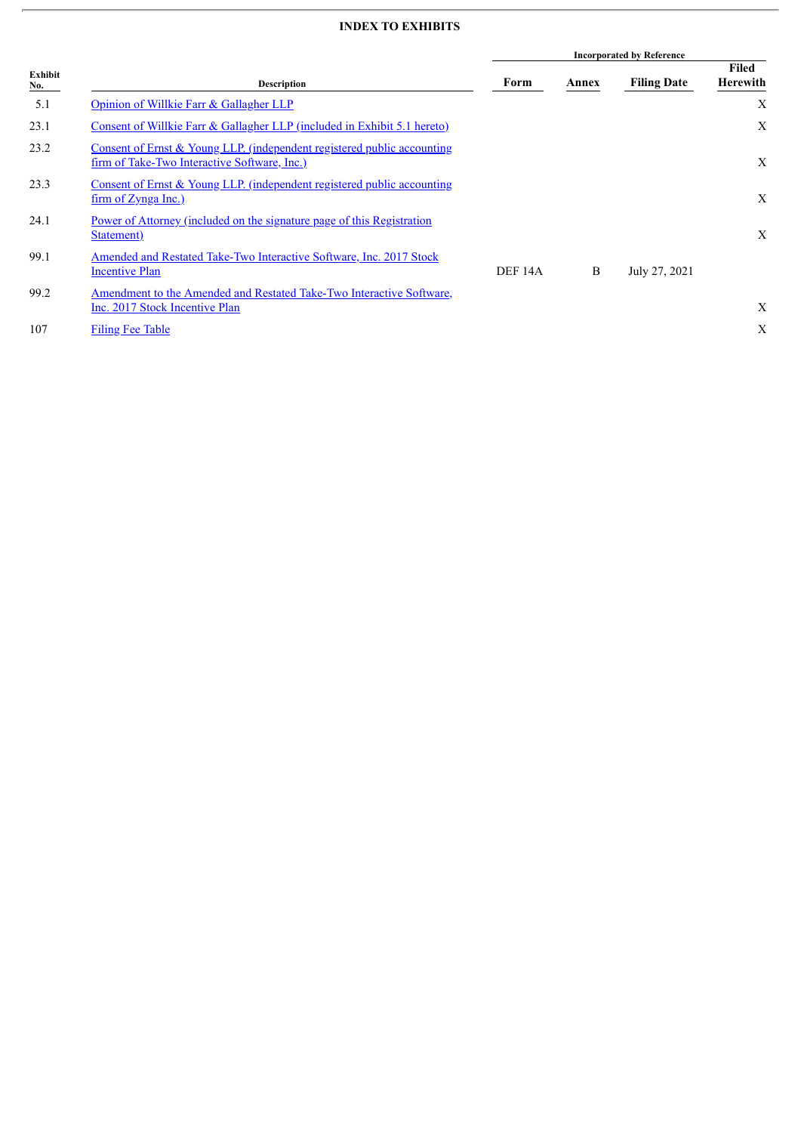## **INDEX TO EXHIBITS**

| Exhibit<br>No. |                                                                                                                         | <b>Incorporated by Reference</b> |       |                    |                          |  |
|----------------|-------------------------------------------------------------------------------------------------------------------------|----------------------------------|-------|--------------------|--------------------------|--|
|                | <b>Description</b>                                                                                                      | Form                             | Annex | <b>Filing Date</b> | Filed<br><b>Herewith</b> |  |
| 5.1            | Opinion of Willkie Farr & Gallagher LLP                                                                                 |                                  |       |                    | X                        |  |
| 23.1           | Consent of Willkie Farr & Gallagher LLP (included in Exhibit 5.1 hereto)                                                |                                  |       |                    | X                        |  |
| 23.2           | Consent of Ernst & Young LLP. (independent registered public accounting<br>firm of Take-Two Interactive Software, Inc.) |                                  |       |                    | X                        |  |
| 23.3           | Consent of Ernst & Young LLP. (independent registered public accounting<br>firm of $Zynga$ Inc.)                        |                                  |       |                    | X                        |  |
| 24.1           | Power of Attorney (included on the signature page of this Registration<br>Statement)                                    |                                  |       |                    | X                        |  |
| 99.1           | Amended and Restated Take-Two Interactive Software, Inc. 2017 Stock<br><b>Incentive Plan</b>                            | DEF 14A                          | B     | July 27, 2021      |                          |  |
| 99.2           | Amendment to the Amended and Restated Take-Two Interactive Software,<br>Inc. 2017 Stock Incentive Plan                  |                                  |       |                    | X                        |  |
| 107            | Filing Fee Table                                                                                                        |                                  |       |                    | X                        |  |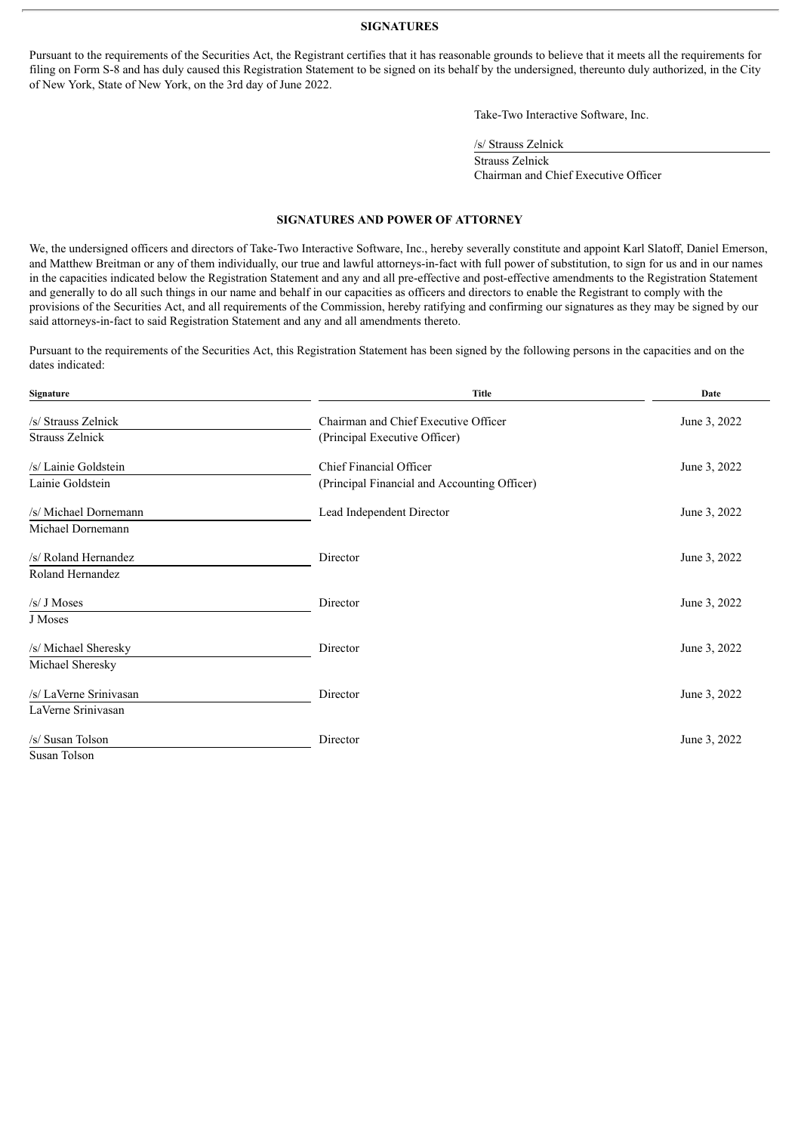#### **SIGNATURES**

<span id="page-4-0"></span>Pursuant to the requirements of the Securities Act, the Registrant certifies that it has reasonable grounds to believe that it meets all the requirements for filing on Form S-8 and has duly caused this Registration Statement to be signed on its behalf by the undersigned, thereunto duly authorized, in the City of New York, State of New York, on the 3rd day of June 2022.

Take-Two Interactive Software, Inc.

| /s/ Strauss Zelnick |
|---------------------|
|---------------------|

Strauss Zelnick Chairman and Chief Executive Officer

## **SIGNATURES AND POWER OF ATTORNEY**

We, the undersigned officers and directors of Take-Two Interactive Software, Inc., hereby severally constitute and appoint Karl Slatoff, Daniel Emerson, and Matthew Breitman or any of them individually, our true and lawful attorneys-in-fact with full power of substitution, to sign for us and in our names in the capacities indicated below the Registration Statement and any and all pre-effective and post-effective amendments to the Registration Statement and generally to do all such things in our name and behalf in our capacities as officers and directors to enable the Registrant to comply with the provisions of the Securities Act, and all requirements of the Commission, hereby ratifying and confirming our signatures as they may be signed by our said attorneys-in-fact to said Registration Statement and any and all amendments thereto.

Pursuant to the requirements of the Securities Act, this Registration Statement has been signed by the following persons in the capacities and on the dates indicated:

| <b>Signature</b>       | <b>Title</b>                                 | Date         |
|------------------------|----------------------------------------------|--------------|
| /s/ Strauss Zelnick    | Chairman and Chief Executive Officer         | June 3, 2022 |
| Strauss Zelnick        | (Principal Executive Officer)                |              |
| /s/ Lainie Goldstein   | Chief Financial Officer                      | June 3, 2022 |
| Lainie Goldstein       | (Principal Financial and Accounting Officer) |              |
| /s/ Michael Dornemann  | Lead Independent Director                    | June 3, 2022 |
| Michael Dornemann      |                                              |              |
| /s/ Roland Hernandez   | Director                                     | June 3, 2022 |
| Roland Hernandez       |                                              |              |
| $/s/J$ Moses           | Director                                     | June 3, 2022 |
| J Moses                |                                              |              |
| /s/ Michael Sheresky   | Director                                     | June 3, 2022 |
| Michael Sheresky       |                                              |              |
| /s/ LaVerne Srinivasan | Director                                     | June 3, 2022 |
| LaVerne Srinivasan     |                                              |              |
| /s/ Susan Tolson       | Director                                     | June 3, 2022 |
| Susan Tolson           |                                              |              |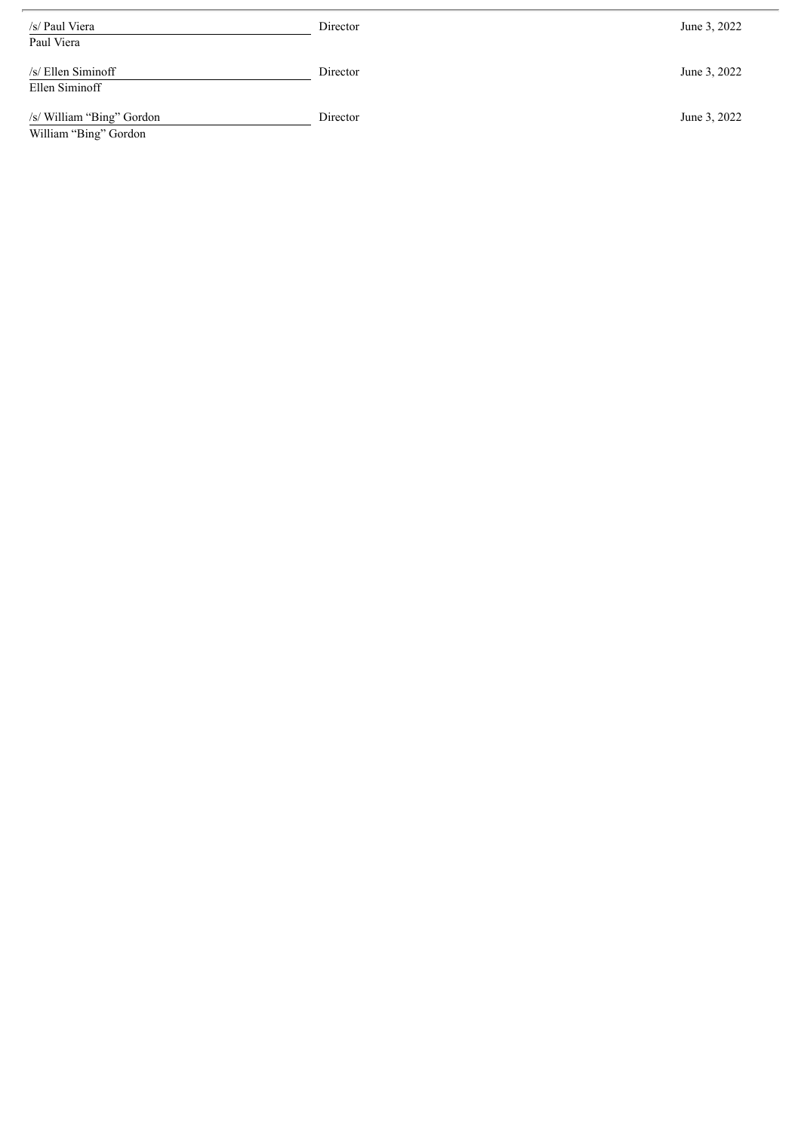| /s/ Paul Viera                                     | Director | June 3, 2022 |
|----------------------------------------------------|----------|--------------|
| Paul Viera                                         |          |              |
| $/s/$ Ellen Siminoff<br>Ellen Siminoff             | Director | June 3, 2022 |
| /s/ William "Bing" Gordon<br>William "Bing" Gordon | Director | June 3, 2022 |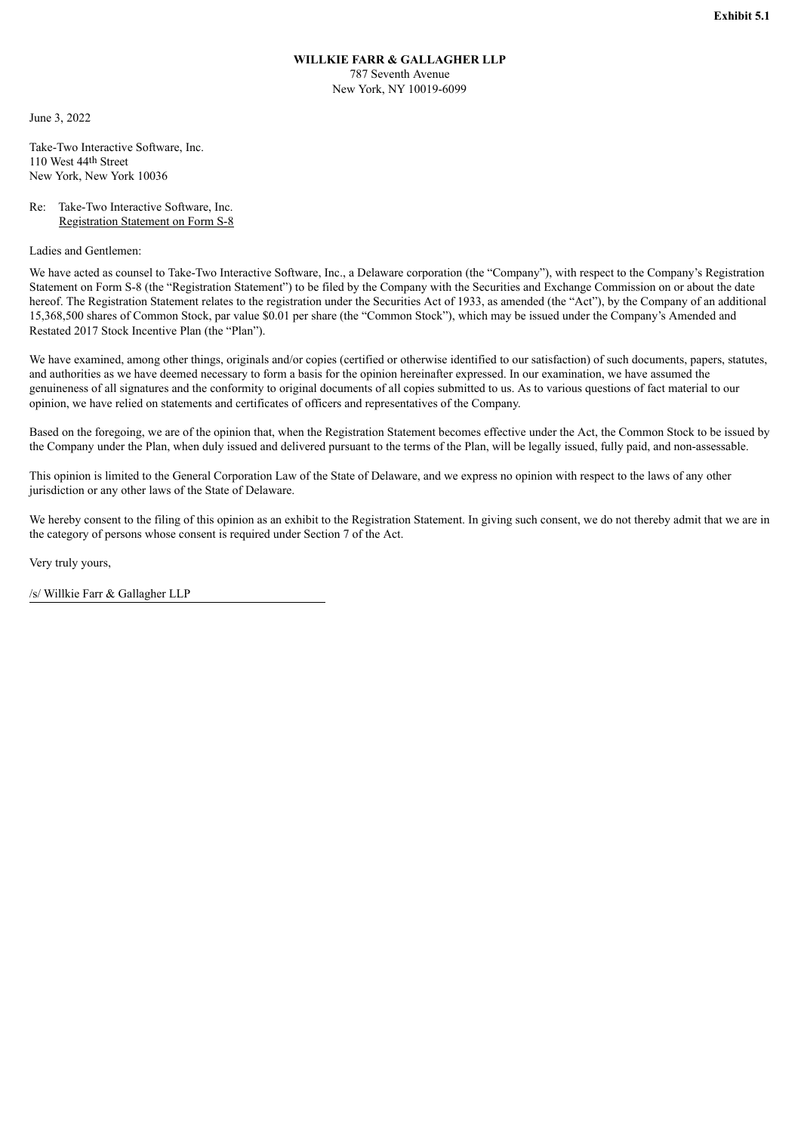787 Seventh Avenue New York, NY 10019-6099

<span id="page-6-0"></span>June 3, 2022

Take-Two Interactive Software, Inc. 110 West 44th Street New York, New York 10036

#### Re: Take-Two Interactive Software, Inc. Registration Statement on Form S-8

Ladies and Gentlemen:

We have acted as counsel to Take-Two Interactive Software, Inc., a Delaware corporation (the "Company"), with respect to the Company's Registration Statement on Form S-8 (the "Registration Statement") to be filed by the Company with the Securities and Exchange Commission on or about the date hereof. The Registration Statement relates to the registration under the Securities Act of 1933, as amended (the "Act"), by the Company of an additional 15,368,500 shares of Common Stock, par value \$0.01 per share (the "Common Stock"), which may be issued under the Company's Amended and Restated 2017 Stock Incentive Plan (the "Plan").

We have examined, among other things, originals and/or copies (certified or otherwise identified to our satisfaction) of such documents, papers, statutes, and authorities as we have deemed necessary to form a basis for the opinion hereinafter expressed. In our examination, we have assumed the genuineness of all signatures and the conformity to original documents of all copies submitted to us. As to various questions of fact material to our opinion, we have relied on statements and certificates of officers and representatives of the Company.

Based on the foregoing, we are of the opinion that, when the Registration Statement becomes effective under the Act, the Common Stock to be issued by the Company under the Plan, when duly issued and delivered pursuant to the terms of the Plan, will be legally issued, fully paid, and non-assessable.

This opinion is limited to the General Corporation Law of the State of Delaware, and we express no opinion with respect to the laws of any other jurisdiction or any other laws of the State of Delaware.

We hereby consent to the filing of this opinion as an exhibit to the Registration Statement. In giving such consent, we do not thereby admit that we are in the category of persons whose consent is required under Section 7 of the Act.

Very truly yours,

/s/ Willkie Farr & Gallagher LLP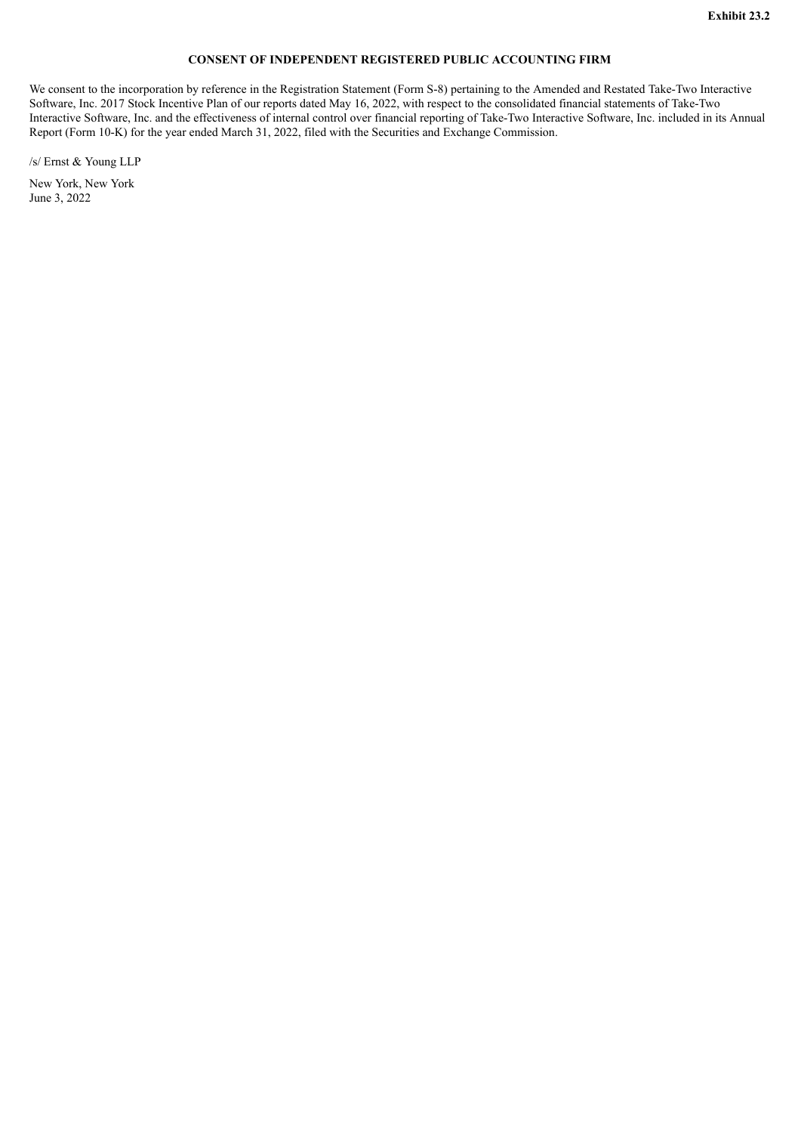## **CONSENT OF INDEPENDENT REGISTERED PUBLIC ACCOUNTING FIRM**

<span id="page-7-0"></span>We consent to the incorporation by reference in the Registration Statement (Form S-8) pertaining to the Amended and Restated Take-Two Interactive Software, Inc. 2017 Stock Incentive Plan of our reports dated May 16, 2022, with respect to the consolidated financial statements of Take-Two Interactive Software, Inc. and the effectiveness of internal control over financial reporting of Take-Two Interactive Software, Inc. included in its Annual Report (Form 10-K) for the year ended March 31, 2022, filed with the Securities and Exchange Commission.

/s/ Ernst & Young LLP

New York, New York June 3, 2022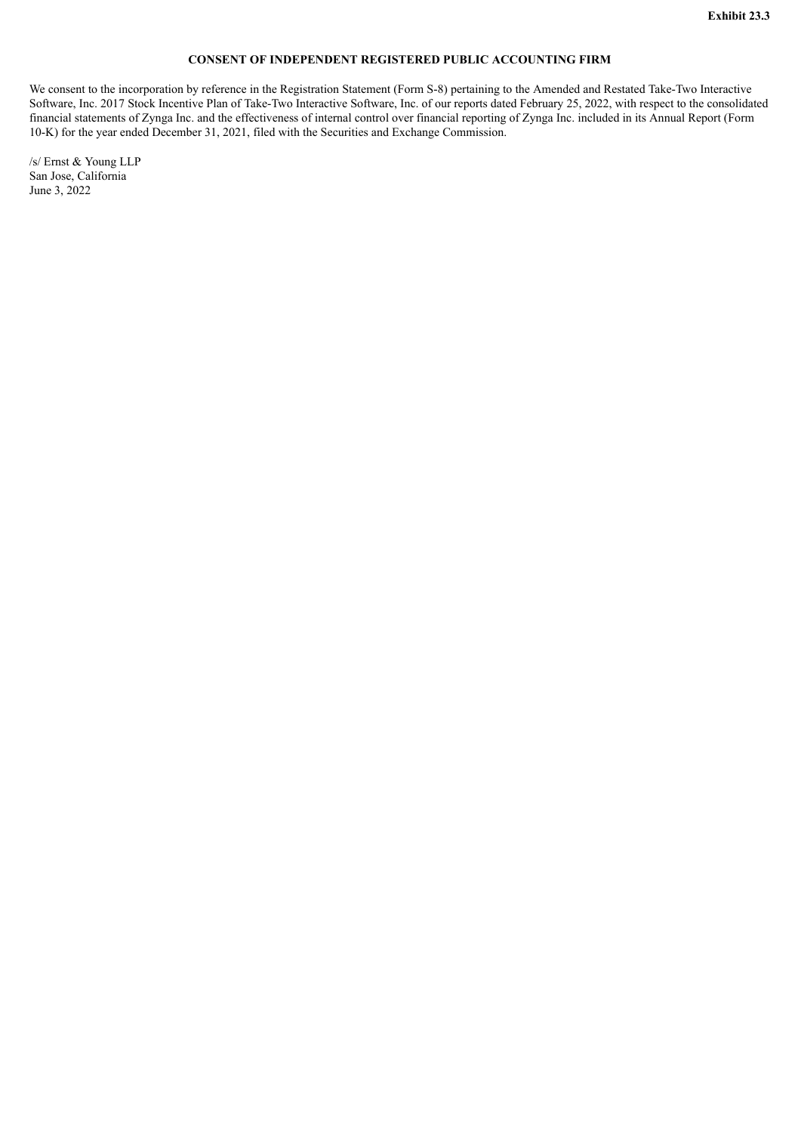## **CONSENT OF INDEPENDENT REGISTERED PUBLIC ACCOUNTING FIRM**

<span id="page-8-0"></span>We consent to the incorporation by reference in the Registration Statement (Form S-8) pertaining to the Amended and Restated Take-Two Interactive Software, Inc. 2017 Stock Incentive Plan of Take-Two Interactive Software, Inc. of our reports dated February 25, 2022, with respect to the consolidated financial statements of Zynga Inc. and the effectiveness of internal control over financial reporting of Zynga Inc. included in its Annual Report (Form 10-K) for the year ended December 31, 2021, filed with the Securities and Exchange Commission.

/s/ Ernst & Young LLP San Jose, California June 3, 2022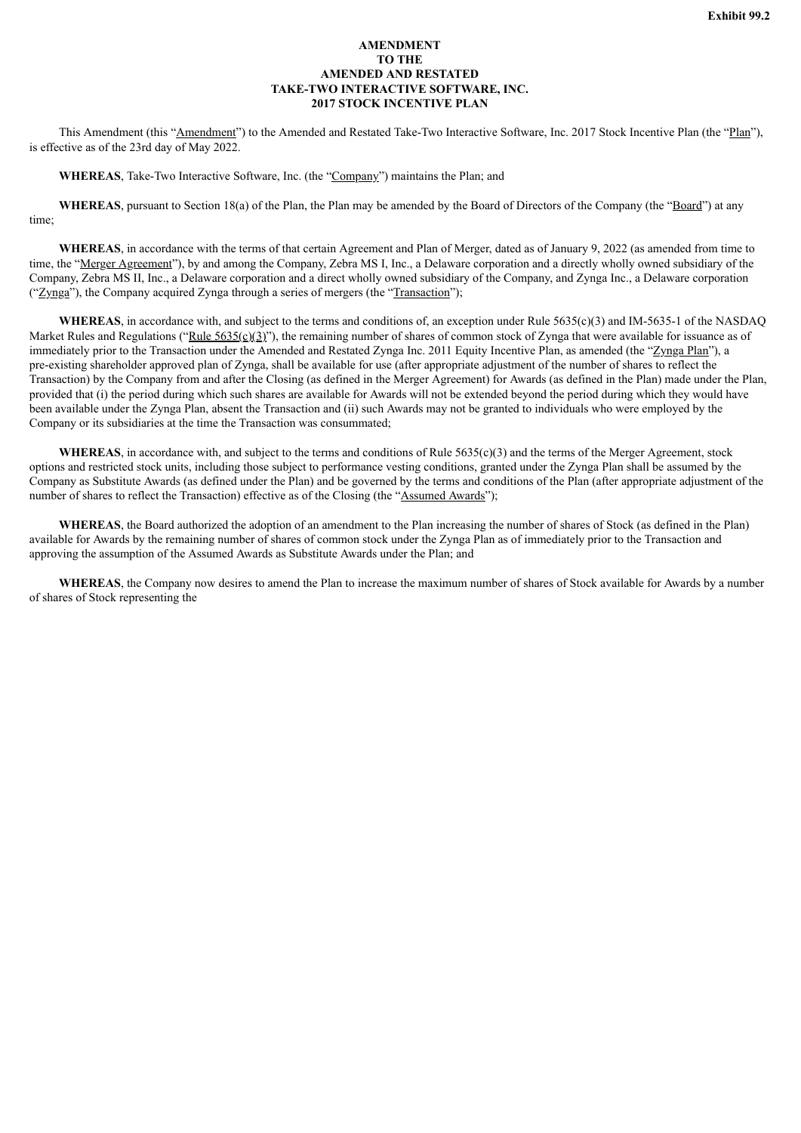#### **AMENDMENT TO THE AMENDED AND RESTATED TAKE-TWO INTERACTIVE SOFTWARE, INC. 2017 STOCK INCENTIVE PLAN**

<span id="page-9-0"></span>This Amendment (this "Amendment") to the Amended and Restated Take-Two Interactive Software, Inc. 2017 Stock Incentive Plan (the "Plan"), is effective as of the 23rd day of May 2022.

**WHEREAS**, Take-Two Interactive Software, Inc. (the "Company") maintains the Plan; and

**WHEREAS**, pursuant to Section 18(a) of the Plan, the Plan may be amended by the Board of Directors of the Company (the "Board") at any time;

**WHEREAS**, in accordance with the terms of that certain Agreement and Plan of Merger, dated as of January 9, 2022 (as amended from time to time, the "Merger Agreement"), by and among the Company, Zebra MS I, Inc., a Delaware corporation and a directly wholly owned subsidiary of the Company, Zebra MS II, Inc., a Delaware corporation and a direct wholly owned subsidiary of the Company, and Zynga Inc., a Delaware corporation  $("Zvnga")$ , the Company acquired Zynga through a series of mergers (the "Transaction");

**WHEREAS**, in accordance with, and subject to the terms and conditions of, an exception under Rule 5635(c)(3) and IM-5635-1 of the NASDAQ Market Rules and Regulations ("Rule 5635(c)(3)"), the remaining number of shares of common stock of Zynga that were available for issuance as of immediately prior to the Transaction under the Amended and Restated Zynga Inc. 2011 Equity Incentive Plan, as amended (the "Zynga Plan"), a pre-existing shareholder approved plan of Zynga, shall be available for use (after appropriate adjustment of the number of shares to reflect the Transaction) by the Company from and after the Closing (as defined in the Merger Agreement) for Awards (as defined in the Plan) made under the Plan, provided that (i) the period during which such shares are available for Awards will not be extended beyond the period during which they would have been available under the Zynga Plan, absent the Transaction and (ii) such Awards may not be granted to individuals who were employed by the Company or its subsidiaries at the time the Transaction was consummated;

**WHEREAS**, in accordance with, and subject to the terms and conditions of Rule  $5635(c)(3)$  and the terms of the Merger Agreement, stock options and restricted stock units, including those subject to performance vesting conditions, granted under the Zynga Plan shall be assumed by the Company as Substitute Awards (as defined under the Plan) and be governed by the terms and conditions of the Plan (after appropriate adjustment of the number of shares to reflect the Transaction) effective as of the Closing (the "Assumed Awards");

**WHEREAS**, the Board authorized the adoption of an amendment to the Plan increasing the number of shares of Stock (as defined in the Plan) available for Awards by the remaining number of shares of common stock under the Zynga Plan as of immediately prior to the Transaction and approving the assumption of the Assumed Awards as Substitute Awards under the Plan; and

**WHEREAS**, the Company now desires to amend the Plan to increase the maximum number of shares of Stock available for Awards by a number of shares of Stock representing the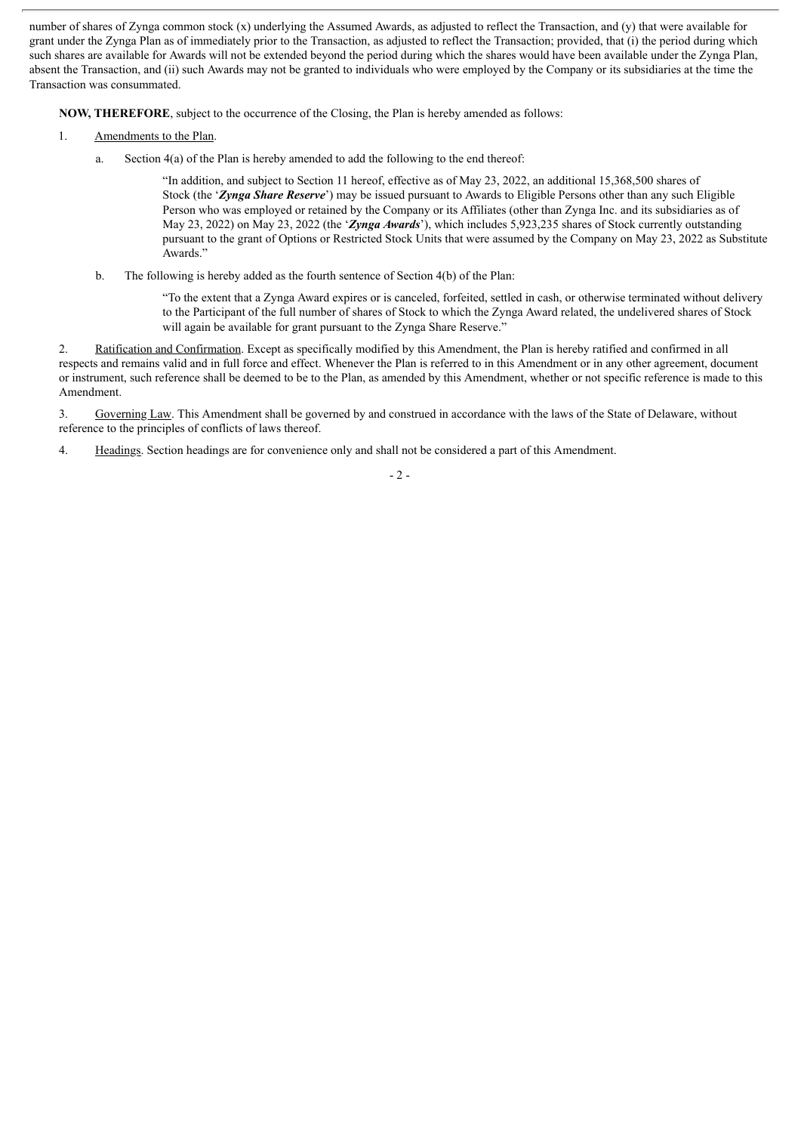number of shares of Zynga common stock (x) underlying the Assumed Awards, as adjusted to reflect the Transaction, and (y) that were available for grant under the Zynga Plan as of immediately prior to the Transaction, as adjusted to reflect the Transaction; provided, that (i) the period during which such shares are available for Awards will not be extended beyond the period during which the shares would have been available under the Zynga Plan, absent the Transaction, and (ii) such Awards may not be granted to individuals who were employed by the Company or its subsidiaries at the time the Transaction was consummated.

**NOW, THEREFORE**, subject to the occurrence of the Closing, the Plan is hereby amended as follows:

- 1. Amendments to the Plan.
	- a. Section 4(a) of the Plan is hereby amended to add the following to the end thereof:

"In addition, and subject to Section 11 hereof, effective as of May 23, 2022, an additional 15,368,500 shares of Stock (the '*Zynga Share Reserve*') may be issued pursuant to Awards to Eligible Persons other than any such Eligible Person who was employed or retained by the Company or its Affiliates (other than Zynga Inc. and its subsidiaries as of May 23, 2022) on May 23, 2022 (the '*Zynga Awards*'), which includes 5,923,235 shares of Stock currently outstanding pursuant to the grant of Options or Restricted Stock Units that were assumed by the Company on May 23, 2022 as Substitute Awards."

b. The following is hereby added as the fourth sentence of Section 4(b) of the Plan:

"To the extent that a Zynga Award expires or is canceled, forfeited, settled in cash, or otherwise terminated without delivery to the Participant of the full number of shares of Stock to which the Zynga Award related, the undelivered shares of Stock will again be available for grant pursuant to the Zynga Share Reserve."

2. Ratification and Confirmation. Except as specifically modified by this Amendment, the Plan is hereby ratified and confirmed in all respects and remains valid and in full force and effect. Whenever the Plan is referred to in this Amendment or in any other agreement, document or instrument, such reference shall be deemed to be to the Plan, as amended by this Amendment, whether or not specific reference is made to this Amendment.

3. Governing Law. This Amendment shall be governed by and construed in accordance with the laws of the State of Delaware, without reference to the principles of conflicts of laws thereof.

4. Headings. Section headings are for convenience only and shall not be considered a part of this Amendment.

 $-2-$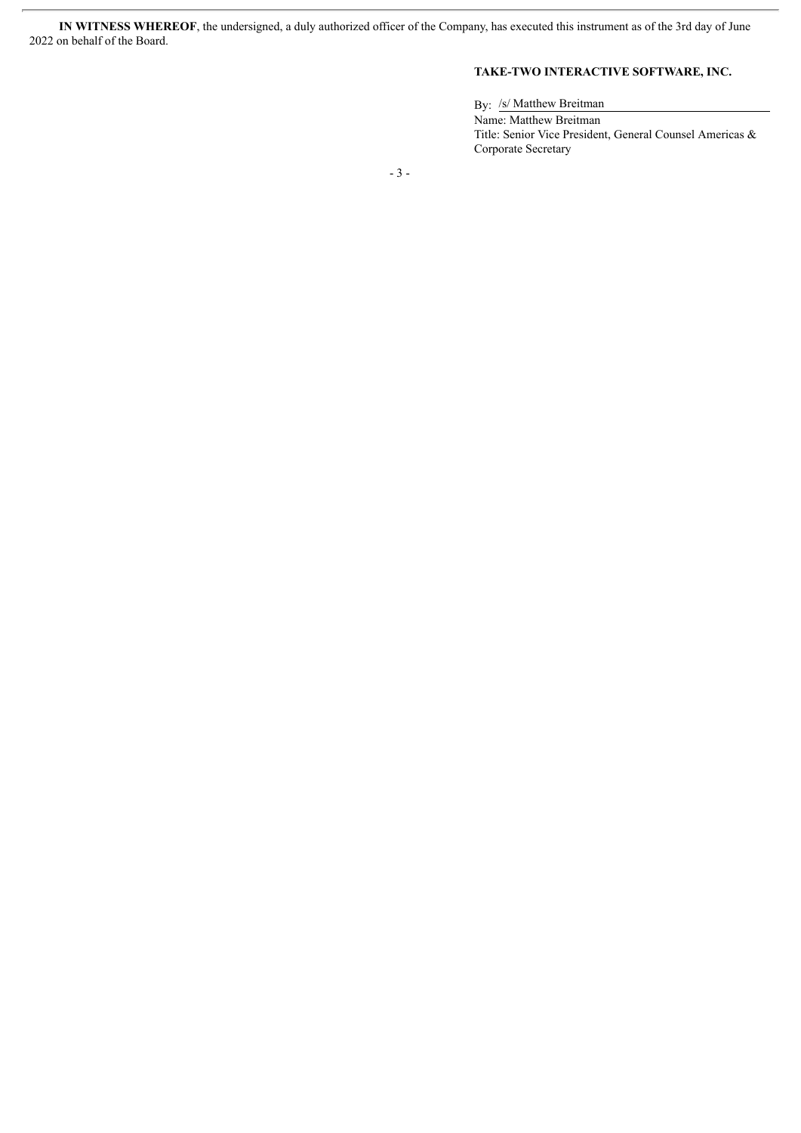**IN WITNESS WHEREOF**, the undersigned, a duly authorized officer of the Company, has executed this instrument as of the 3rd day of June 2022 on behalf of the Board.

## **TAKE-TWO INTERACTIVE SOFTWARE, INC.**

By: /s/ Matthew Breitman Name: Matthew Breitman Title: Senior Vice President, General Counsel Americas & Corporate Secretary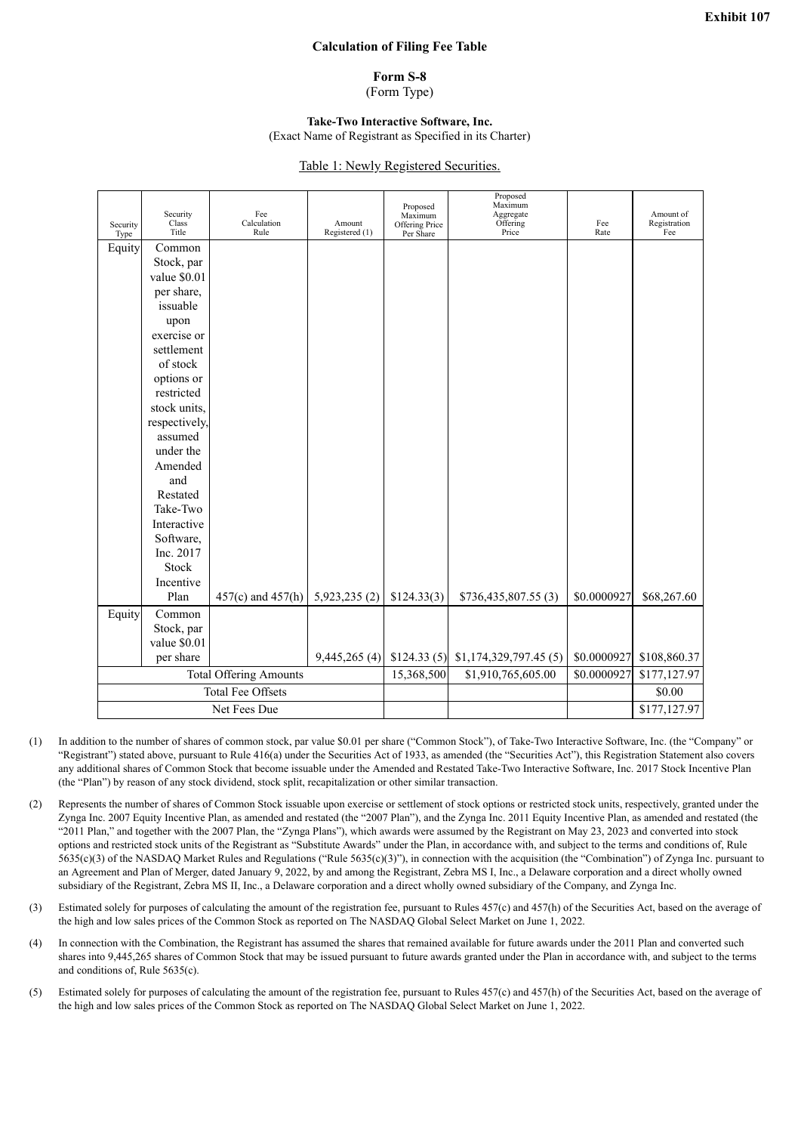## **Calculation of Filing Fee Table**

## **Form S-8**

## (Form Type)

#### **Take-Two Interactive Software, Inc.** (Exact Name of Registrant as Specified in its Charter)

## Table 1: Newly Registered Securities.

<span id="page-12-0"></span>

| Security<br>Type              | Security<br>Class<br>Title | Fee<br>Calculation<br>Rule | Amount<br>Registered (1) | Proposed<br>Maximum<br>Offering Price<br>Per Share | Proposed<br>Maximum<br>Aggregate<br>Offering<br>Price | Fee<br>Rate  | Amount of<br>Registration<br>Fee |
|-------------------------------|----------------------------|----------------------------|--------------------------|----------------------------------------------------|-------------------------------------------------------|--------------|----------------------------------|
| Equity                        | Common                     |                            |                          |                                                    |                                                       |              |                                  |
|                               | Stock, par                 |                            |                          |                                                    |                                                       |              |                                  |
|                               | value \$0.01               |                            |                          |                                                    |                                                       |              |                                  |
|                               | per share,                 |                            |                          |                                                    |                                                       |              |                                  |
|                               | issuable                   |                            |                          |                                                    |                                                       |              |                                  |
|                               | upon                       |                            |                          |                                                    |                                                       |              |                                  |
|                               | exercise or                |                            |                          |                                                    |                                                       |              |                                  |
|                               | settlement                 |                            |                          |                                                    |                                                       |              |                                  |
|                               | of stock                   |                            |                          |                                                    |                                                       |              |                                  |
|                               | options or                 |                            |                          |                                                    |                                                       |              |                                  |
|                               | restricted                 |                            |                          |                                                    |                                                       |              |                                  |
|                               | stock units,               |                            |                          |                                                    |                                                       |              |                                  |
|                               | respectively,              |                            |                          |                                                    |                                                       |              |                                  |
|                               | assumed                    |                            |                          |                                                    |                                                       |              |                                  |
|                               | under the                  |                            |                          |                                                    |                                                       |              |                                  |
|                               | Amended                    |                            |                          |                                                    |                                                       |              |                                  |
|                               | and                        |                            |                          |                                                    |                                                       |              |                                  |
|                               | Restated                   |                            |                          |                                                    |                                                       |              |                                  |
|                               | Take-Two                   |                            |                          |                                                    |                                                       |              |                                  |
|                               | Interactive                |                            |                          |                                                    |                                                       |              |                                  |
|                               | Software,                  |                            |                          |                                                    |                                                       |              |                                  |
|                               | Inc. 2017                  |                            |                          |                                                    |                                                       |              |                                  |
|                               | Stock                      |                            |                          |                                                    |                                                       |              |                                  |
|                               | Incentive<br>Plan          | $457(c)$ and $457(h)$      | 5,923,235 (2)            | \$124.33(3)                                        | \$736,435,807.55 (3)                                  | \$0.0000927  | \$68,267.60                      |
| Equity                        | Common                     |                            |                          |                                                    |                                                       |              |                                  |
|                               | Stock, par                 |                            |                          |                                                    |                                                       |              |                                  |
|                               | value \$0.01               |                            |                          |                                                    |                                                       |              |                                  |
|                               | per share                  |                            | 9,445,265 (4)            | \$124.33(5)                                        | \$1,174,329,797.45(5)                                 | \$0.0000927  | \$108,860.37                     |
| <b>Total Offering Amounts</b> |                            | 15,368,500                 | \$1,910,765,605.00       | \$0.0000927                                        | \$177,127.97                                          |              |                                  |
| <b>Total Fee Offsets</b>      |                            |                            |                          |                                                    |                                                       | \$0.00       |                                  |
| Net Fees Due                  |                            |                            |                          |                                                    |                                                       | \$177,127.97 |                                  |
|                               |                            |                            |                          |                                                    |                                                       |              |                                  |

- (1) In addition to the number of shares of common stock, par value \$0.01 per share ("Common Stock"), of Take-Two Interactive Software, Inc. (the "Company" or "Registrant") stated above, pursuant to Rule 416(a) under the Securities Act of 1933, as amended (the "Securities Act"), this Registration Statement also covers any additional shares of Common Stock that become issuable under the Amended and Restated Take-Two Interactive Software, Inc. 2017 Stock Incentive Plan (the "Plan") by reason of any stock dividend, stock split, recapitalization or other similar transaction.
- (2) Represents the number of shares of Common Stock issuable upon exercise or settlement of stock options or restricted stock units, respectively, granted under the Zynga Inc. 2007 Equity Incentive Plan, as amended and restated (the "2007 Plan"), and the Zynga Inc. 2011 Equity Incentive Plan, as amended and restated (the "2011 Plan," and together with the 2007 Plan, the "Zynga Plans"), which awards were assumed by the Registrant on May 23, 2023 and converted into stock options and restricted stock units of the Registrant as "Substitute Awards" under the Plan, in accordance with, and subject to the terms and conditions of, Rule 5635(c)(3) of the NASDAQ Market Rules and Regulations ("Rule 5635(c)(3)"), in connection with the acquisition (the "Combination") of Zynga Inc. pursuant to an Agreement and Plan of Merger, dated January 9, 2022, by and among the Registrant, Zebra MS I, Inc., a Delaware corporation and a direct wholly owned subsidiary of the Registrant, Zebra MS II, Inc., a Delaware corporation and a direct wholly owned subsidiary of the Company, and Zynga Inc.
- (3) Estimated solely for purposes of calculating the amount of the registration fee, pursuant to Rules 457(c) and 457(h) of the Securities Act, based on the average of the high and low sales prices of the Common Stock as reported on The NASDAQ Global Select Market on June 1, 2022.
- (4) In connection with the Combination, the Registrant has assumed the shares that remained available for future awards under the 2011 Plan and converted such shares into 9,445,265 shares of Common Stock that may be issued pursuant to future awards granted under the Plan in accordance with, and subject to the terms and conditions of, Rule 5635(c).
- (5) Estimated solely for purposes of calculating the amount of the registration fee, pursuant to Rules 457(c) and 457(h) of the Securities Act, based on the average of the high and low sales prices of the Common Stock as reported on The NASDAQ Global Select Market on June 1, 2022.